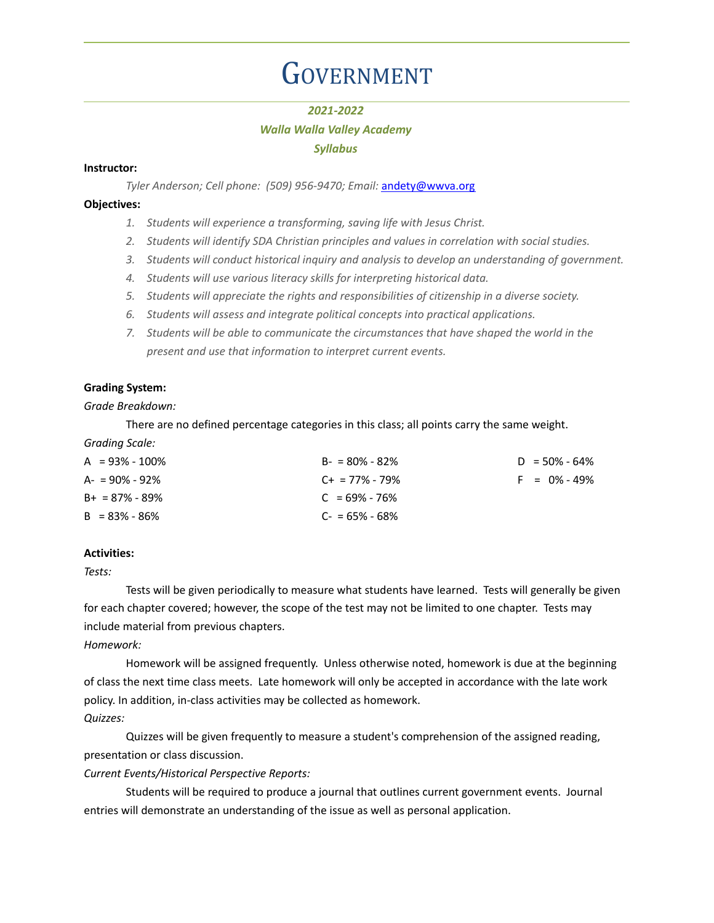# **GOVERNMENT**

## *2021-2022*

# *Walla Walla Valley Academy*

## *Syllabus*

## **Instructor:**

*Tyler Anderson; Cell phone: (509) 956-9470; Email:* [andety@wwva.org](mailto:andety@wwva.org)

## **Objectives:**

- *1. Students will experience a transforming, saving life with Jesus Christ.*
- *2. Students will identify SDA Christian principles and values in correlation with social studies.*
- *3. Students will conduct historical inquiry and analysis to develop an understanding of government.*
- *4. Students will use various literacy skills for interpreting historical data.*
- *5. Students will appreciate the rights and responsibilities of citizenship in a diverse society.*
- *6. Students will assess and integrate political concepts into practical applications.*
- *7. Students will be able to communicate the circumstances that have shaped the world in the present and use that information to interpret current events.*

# **Grading System:**

## *Grade Breakdown:*

There are no defined percentage categories in this class; all points carry the same weight.

*Grading Scale:*

| $A = 93\% - 100\%$ | $B - 80\% - 82\%$   | $D = 50\% - 64\%$ |
|--------------------|---------------------|-------------------|
| $A = 90\% - 92\%$  | $C_{+}$ = 77% - 79% | $F = 0\% - 49\%$  |
| $B+ = 87\% - 89\%$ | $C = 69\% - 76\%$   |                   |
| $B = 83\% - 86\%$  | $C = 65\% - 68\%$   |                   |

## **Activities:**

*Tests:*

Tests will be given periodically to measure what students have learned. Tests will generally be given for each chapter covered; however, the scope of the test may not be limited to one chapter. Tests may include material from previous chapters.

*Homework:*

Homework will be assigned frequently. Unless otherwise noted, homework is due at the beginning of class the next time class meets. Late homework will only be accepted in accordance with the late work policy. In addition, in-class activities may be collected as homework. *Quizzes:*

Quizzes will be given frequently to measure a student's comprehension of the assigned reading, presentation or class discussion.

*Current Events/Historical Perspective Reports:*

Students will be required to produce a journal that outlines current government events. Journal entries will demonstrate an understanding of the issue as well as personal application.